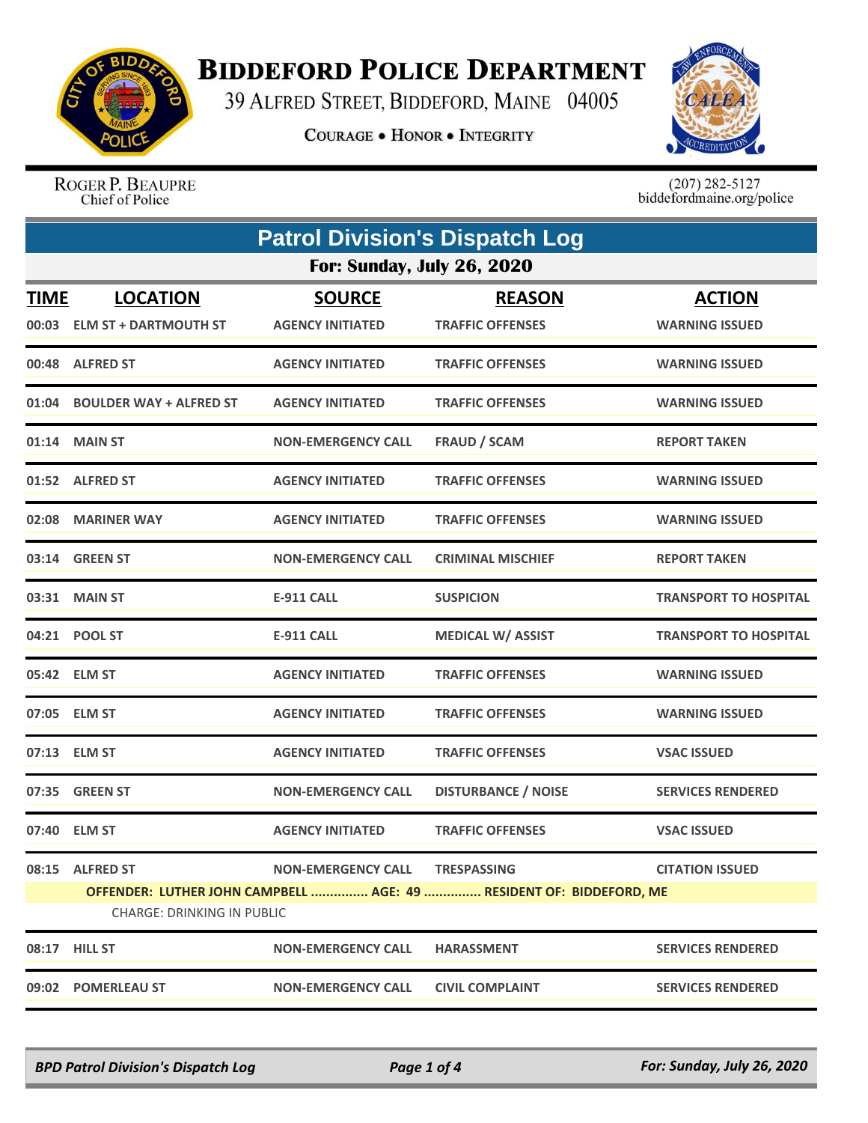

## **BIDDEFORD POLICE DEPARTMENT**

39 ALFRED STREET, BIDDEFORD, MAINE 04005

**COURAGE . HONOR . INTEGRITY** 



ROGER P. BEAUPRE Chief of Police

 $(207)$  282-5127<br>biddefordmaine.org/police

| <b>Patrol Division's Dispatch Log</b>                                                                    |                               |                           |                            |                              |  |
|----------------------------------------------------------------------------------------------------------|-------------------------------|---------------------------|----------------------------|------------------------------|--|
| <b>For: Sunday, July 26, 2020</b>                                                                        |                               |                           |                            |                              |  |
| <b>TIME</b>                                                                                              | <b>LOCATION</b>               | <b>SOURCE</b>             | <b>REASON</b>              | <b>ACTION</b>                |  |
|                                                                                                          | 00:03 ELM ST + DARTMOUTH ST   | <b>AGENCY INITIATED</b>   | <b>TRAFFIC OFFENSES</b>    | <b>WARNING ISSUED</b>        |  |
|                                                                                                          | 00:48 ALFRED ST               | <b>AGENCY INITIATED</b>   | <b>TRAFFIC OFFENSES</b>    | <b>WARNING ISSUED</b>        |  |
|                                                                                                          | 01:04 BOULDER WAY + ALFRED ST | <b>AGENCY INITIATED</b>   | <b>TRAFFIC OFFENSES</b>    | <b>WARNING ISSUED</b>        |  |
|                                                                                                          | 01:14 MAIN ST                 | <b>NON-EMERGENCY CALL</b> | <b>FRAUD / SCAM</b>        | <b>REPORT TAKEN</b>          |  |
|                                                                                                          | 01:52 ALFRED ST               | <b>AGENCY INITIATED</b>   | <b>TRAFFIC OFFENSES</b>    | <b>WARNING ISSUED</b>        |  |
|                                                                                                          | 02:08 MARINER WAY             | <b>AGENCY INITIATED</b>   | <b>TRAFFIC OFFENSES</b>    | <b>WARNING ISSUED</b>        |  |
|                                                                                                          | 03:14 GREEN ST                | <b>NON-EMERGENCY CALL</b> | <b>CRIMINAL MISCHIEF</b>   | <b>REPORT TAKEN</b>          |  |
|                                                                                                          | 03:31 MAIN ST                 | <b>E-911 CALL</b>         | <b>SUSPICION</b>           | <b>TRANSPORT TO HOSPITAL</b> |  |
|                                                                                                          | 04:21 POOL ST                 | E-911 CALL                | <b>MEDICAL W/ ASSIST</b>   | <b>TRANSPORT TO HOSPITAL</b> |  |
|                                                                                                          | 05:42 ELM ST                  | <b>AGENCY INITIATED</b>   | <b>TRAFFIC OFFENSES</b>    | <b>WARNING ISSUED</b>        |  |
|                                                                                                          | 07:05 ELM ST                  | <b>AGENCY INITIATED</b>   | <b>TRAFFIC OFFENSES</b>    | <b>WARNING ISSUED</b>        |  |
|                                                                                                          | 07:13 ELM ST                  | <b>AGENCY INITIATED</b>   | <b>TRAFFIC OFFENSES</b>    | <b>VSAC ISSUED</b>           |  |
|                                                                                                          | 07:35 GREEN ST                | <b>NON-EMERGENCY CALL</b> | <b>DISTURBANCE / NOISE</b> | <b>SERVICES RENDERED</b>     |  |
|                                                                                                          | 07:40 ELM ST                  | <b>AGENCY INITIATED</b>   | <b>TRAFFIC OFFENSES</b>    | <b>VSAC ISSUED</b>           |  |
|                                                                                                          | 08:15 ALFRED ST               | <b>NON-EMERGENCY CALL</b> | <b>TRESPASSING</b>         | <b>CITATION ISSUED</b>       |  |
| OFFENDER: LUTHER JOHN CAMPBELL  AGE: 49  RESIDENT OF: BIDDEFORD, ME<br><b>CHARGE: DRINKING IN PUBLIC</b> |                               |                           |                            |                              |  |
|                                                                                                          | 08:17 HILL ST                 | <b>NON-EMERGENCY CALL</b> | <b>HARASSMENT</b>          | <b>SERVICES RENDERED</b>     |  |
|                                                                                                          | 09:02 POMERLEAU ST            | <b>NON-EMERGENCY CALL</b> | <b>CIVIL COMPLAINT</b>     | <b>SERVICES RENDERED</b>     |  |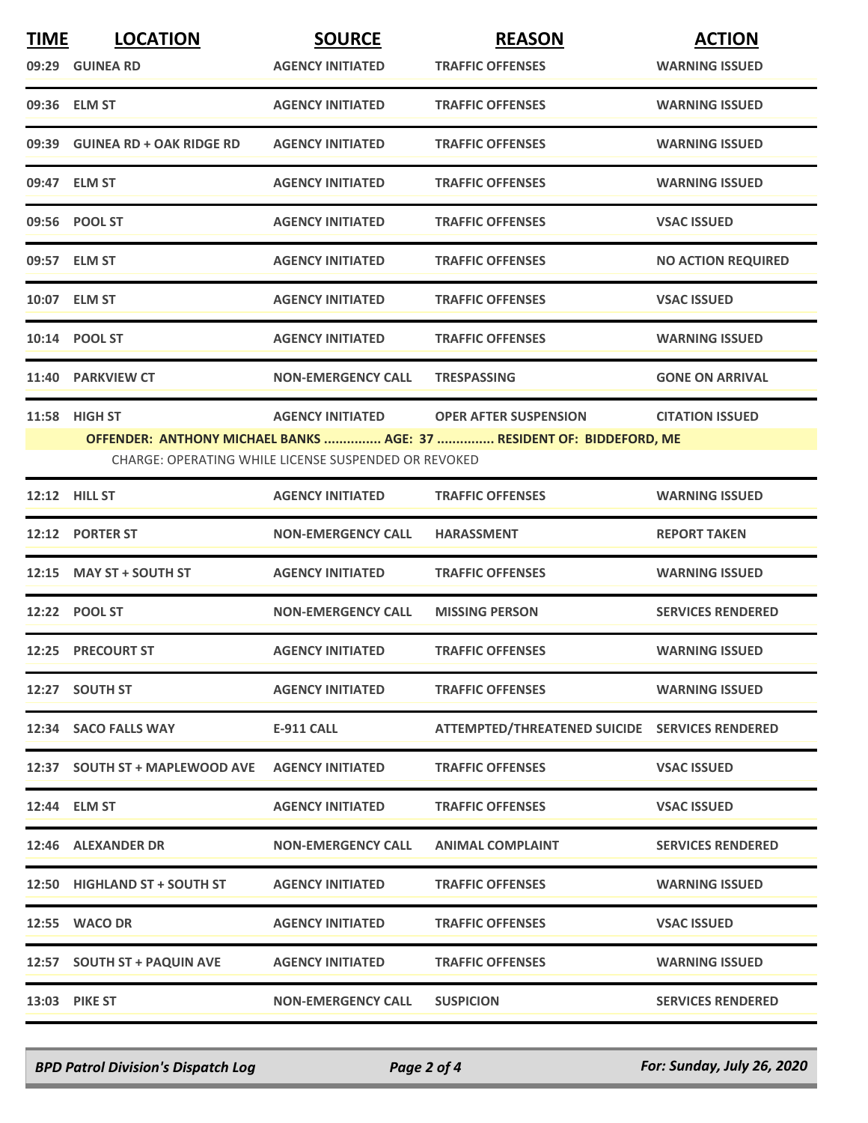| <b>TIME</b> | <b>LOCATION</b>                | <b>SOURCE</b>                                        | <b>REASON</b>                                                        | <b>ACTION</b>             |
|-------------|--------------------------------|------------------------------------------------------|----------------------------------------------------------------------|---------------------------|
|             | 09:29 GUINEA RD                | <b>AGENCY INITIATED</b>                              | <b>TRAFFIC OFFENSES</b>                                              | <b>WARNING ISSUED</b>     |
|             | 09:36 ELM ST                   | <b>AGENCY INITIATED</b>                              | <b>TRAFFIC OFFENSES</b>                                              | <b>WARNING ISSUED</b>     |
|             | 09:39 GUINEA RD + OAK RIDGE RD | <b>AGENCY INITIATED</b>                              | <b>TRAFFIC OFFENSES</b>                                              | <b>WARNING ISSUED</b>     |
|             | 09:47 ELM ST                   | <b>AGENCY INITIATED</b>                              | <b>TRAFFIC OFFENSES</b>                                              | <b>WARNING ISSUED</b>     |
|             | 09:56 POOL ST                  | <b>AGENCY INITIATED</b>                              | <b>TRAFFIC OFFENSES</b>                                              | <b>VSAC ISSUED</b>        |
|             | 09:57 ELM ST                   | <b>AGENCY INITIATED</b>                              | <b>TRAFFIC OFFENSES</b>                                              | <b>NO ACTION REQUIRED</b> |
|             | 10:07 ELM ST                   | <b>AGENCY INITIATED</b>                              | <b>TRAFFIC OFFENSES</b>                                              | <b>VSAC ISSUED</b>        |
|             | 10:14 POOL ST                  | <b>AGENCY INITIATED</b>                              | <b>TRAFFIC OFFENSES</b>                                              | <b>WARNING ISSUED</b>     |
|             | 11:40 PARKVIEW CT              | <b>NON-EMERGENCY CALL</b>                            | <b>TRESPASSING</b>                                                   | <b>GONE ON ARRIVAL</b>    |
|             | 11:58 HIGH ST                  | <b>AGENCY INITIATED</b>                              | <b>OPER AFTER SUSPENSION</b>                                         | <b>CITATION ISSUED</b>    |
|             |                                |                                                      | OFFENDER: ANTHONY MICHAEL BANKS  AGE: 37  RESIDENT OF: BIDDEFORD, ME |                           |
|             |                                | CHARGE: OPERATING WHILE LICENSE SUSPENDED OR REVOKED |                                                                      |                           |
|             | 12:12 HILL ST                  | <b>AGENCY INITIATED</b>                              | <b>TRAFFIC OFFENSES</b>                                              | <b>WARNING ISSUED</b>     |
|             | 12:12 PORTER ST                | <b>NON-EMERGENCY CALL</b>                            | <b>HARASSMENT</b>                                                    | <b>REPORT TAKEN</b>       |
|             | 12:15 MAY ST + SOUTH ST        | <b>AGENCY INITIATED</b>                              | <b>TRAFFIC OFFENSES</b>                                              | <b>WARNING ISSUED</b>     |
|             | 12:22 POOL ST                  | <b>NON-EMERGENCY CALL</b>                            | <b>MISSING PERSON</b>                                                | <b>SERVICES RENDERED</b>  |
|             | 12:25 PRECOURT ST              | <b>AGENCY INITIATED</b>                              | <b>TRAFFIC OFFENSES</b>                                              | <b>WARNING ISSUED</b>     |
|             | 12:27 SOUTH ST                 | <b>AGENCY INITIATED</b>                              | <b>TRAFFIC OFFENSES</b>                                              | <b>WARNING ISSUED</b>     |
|             | 12:34 SACO FALLS WAY           | <b>E-911 CALL</b>                                    | ATTEMPTED/THREATENED SUICIDE SERVICES RENDERED                       |                           |
|             | 12:37 SOUTH ST + MAPLEWOOD AVE | <b>AGENCY INITIATED</b>                              | <b>TRAFFIC OFFENSES</b>                                              | <b>VSAC ISSUED</b>        |
|             | 12:44 ELM ST                   | <b>AGENCY INITIATED</b>                              | <b>TRAFFIC OFFENSES</b>                                              | <b>VSAC ISSUED</b>        |
|             | 12:46 ALEXANDER DR             | <b>NON-EMERGENCY CALL</b>                            | <b>ANIMAL COMPLAINT</b>                                              | <b>SERVICES RENDERED</b>  |
|             | 12:50 HIGHLAND ST + SOUTH ST   | <b>AGENCY INITIATED</b>                              | <b>TRAFFIC OFFENSES</b>                                              | <b>WARNING ISSUED</b>     |
|             | <b>12:55 WACO DR</b>           | <b>AGENCY INITIATED</b>                              | <b>TRAFFIC OFFENSES</b>                                              | <b>VSAC ISSUED</b>        |
|             | 12:57 SOUTH ST + PAQUIN AVE    | <b>AGENCY INITIATED</b>                              | <b>TRAFFIC OFFENSES</b>                                              | <b>WARNING ISSUED</b>     |
|             | <b>13:03 PIKE ST</b>           | <b>NON-EMERGENCY CALL</b>                            | <b>SUSPICION</b>                                                     | <b>SERVICES RENDERED</b>  |

*BPD Patrol Division's Dispatch Log Page 2 of 4 For: Sunday, July 26, 2020*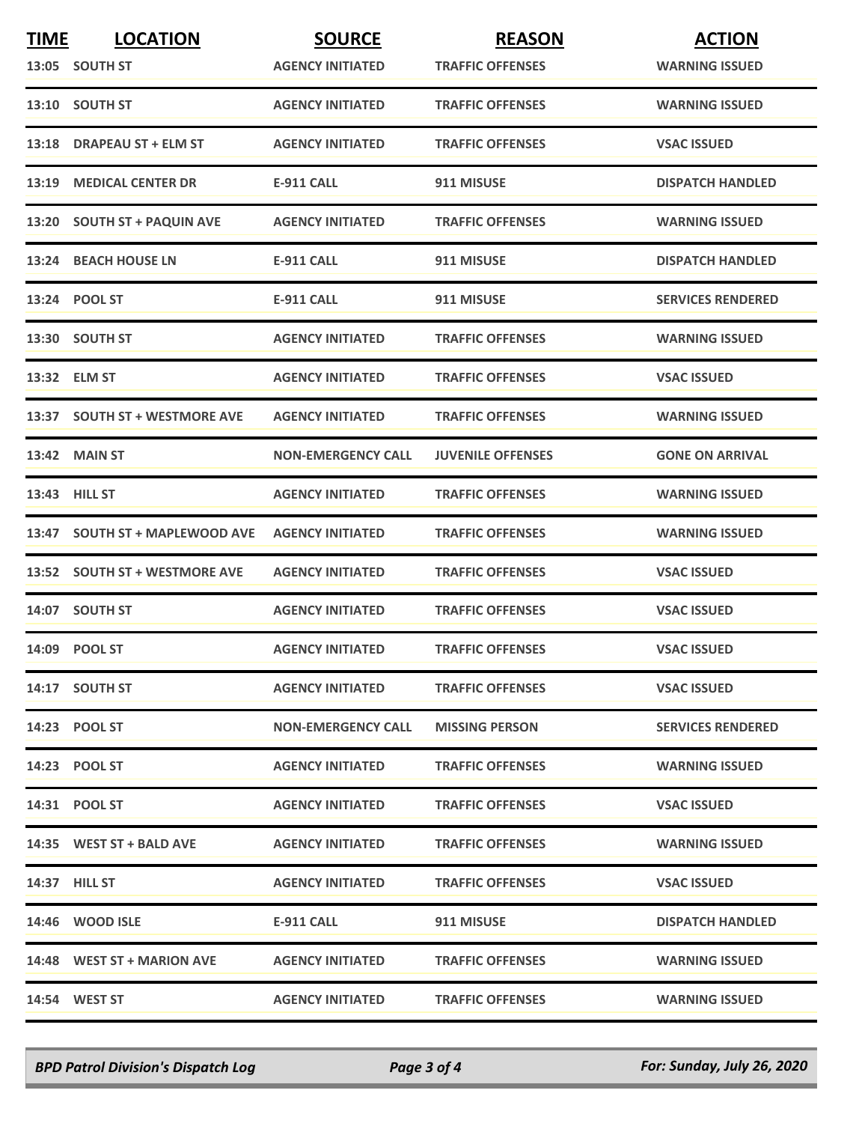| <b>TIME</b> | <b>LOCATION</b>                | <b>SOURCE</b>             | <b>REASON</b>            | <b>ACTION</b>            |
|-------------|--------------------------------|---------------------------|--------------------------|--------------------------|
|             | 13:05 SOUTH ST                 | <b>AGENCY INITIATED</b>   | <b>TRAFFIC OFFENSES</b>  | <b>WARNING ISSUED</b>    |
|             | 13:10 SOUTH ST                 | <b>AGENCY INITIATED</b>   | <b>TRAFFIC OFFENSES</b>  | <b>WARNING ISSUED</b>    |
| 13:18       | <b>DRAPEAU ST + ELM ST</b>     | <b>AGENCY INITIATED</b>   | <b>TRAFFIC OFFENSES</b>  | <b>VSAC ISSUED</b>       |
|             | 13:19 MEDICAL CENTER DR        | E-911 CALL                | 911 MISUSE               | <b>DISPATCH HANDLED</b>  |
|             | 13:20 SOUTH ST + PAQUIN AVE    | <b>AGENCY INITIATED</b>   | <b>TRAFFIC OFFENSES</b>  | <b>WARNING ISSUED</b>    |
|             | 13:24 BEACH HOUSE LN           | <b>E-911 CALL</b>         | 911 MISUSE               | <b>DISPATCH HANDLED</b>  |
|             | 13:24 POOL ST                  | <b>E-911 CALL</b>         | 911 MISUSE               | <b>SERVICES RENDERED</b> |
|             | 13:30 SOUTH ST                 | <b>AGENCY INITIATED</b>   | <b>TRAFFIC OFFENSES</b>  | <b>WARNING ISSUED</b>    |
|             | 13:32 ELM ST                   | <b>AGENCY INITIATED</b>   | <b>TRAFFIC OFFENSES</b>  | <b>VSAC ISSUED</b>       |
|             | 13:37 SOUTH ST + WESTMORE AVE  | <b>AGENCY INITIATED</b>   | <b>TRAFFIC OFFENSES</b>  | <b>WARNING ISSUED</b>    |
|             | 13:42 MAIN ST                  | <b>NON-EMERGENCY CALL</b> | <b>JUVENILE OFFENSES</b> | <b>GONE ON ARRIVAL</b>   |
|             | 13:43 HILL ST                  | <b>AGENCY INITIATED</b>   | <b>TRAFFIC OFFENSES</b>  | <b>WARNING ISSUED</b>    |
|             | 13:47 SOUTH ST + MAPLEWOOD AVE | <b>AGENCY INITIATED</b>   | <b>TRAFFIC OFFENSES</b>  | <b>WARNING ISSUED</b>    |
|             | 13:52 SOUTH ST + WESTMORE AVE  | <b>AGENCY INITIATED</b>   | <b>TRAFFIC OFFENSES</b>  | <b>VSAC ISSUED</b>       |
|             | 14:07 SOUTH ST                 | <b>AGENCY INITIATED</b>   | <b>TRAFFIC OFFENSES</b>  | <b>VSAC ISSUED</b>       |
|             | 14:09 POOL ST                  | <b>AGENCY INITIATED</b>   | <b>TRAFFIC OFFENSES</b>  | <b>VSAC ISSUED</b>       |
|             | 14:17 SOUTH ST                 | <b>AGENCY INITIATED</b>   | <b>TRAFFIC OFFENSES</b>  | <b>VSAC ISSUED</b>       |
|             | 14:23 POOL ST                  | <b>NON-EMERGENCY CALL</b> | <b>MISSING PERSON</b>    | <b>SERVICES RENDERED</b> |
|             | 14:23 POOL ST                  | <b>AGENCY INITIATED</b>   | <b>TRAFFIC OFFENSES</b>  | <b>WARNING ISSUED</b>    |
|             | 14:31 POOL ST                  | <b>AGENCY INITIATED</b>   | <b>TRAFFIC OFFENSES</b>  | <b>VSAC ISSUED</b>       |
|             | 14:35 WEST ST + BALD AVE       | <b>AGENCY INITIATED</b>   | <b>TRAFFIC OFFENSES</b>  | <b>WARNING ISSUED</b>    |
|             | 14:37 HILL ST                  | <b>AGENCY INITIATED</b>   | <b>TRAFFIC OFFENSES</b>  | <b>VSAC ISSUED</b>       |
|             | 14:46 WOOD ISLE                | E-911 CALL                | 911 MISUSE               | <b>DISPATCH HANDLED</b>  |
|             | 14:48 WEST ST + MARION AVE     | <b>AGENCY INITIATED</b>   | <b>TRAFFIC OFFENSES</b>  | <b>WARNING ISSUED</b>    |
|             | 14:54 WEST ST                  | <b>AGENCY INITIATED</b>   | <b>TRAFFIC OFFENSES</b>  | <b>WARNING ISSUED</b>    |

*BPD Patrol Division's Dispatch Log Page 3 of 4 For: Sunday, July 26, 2020*